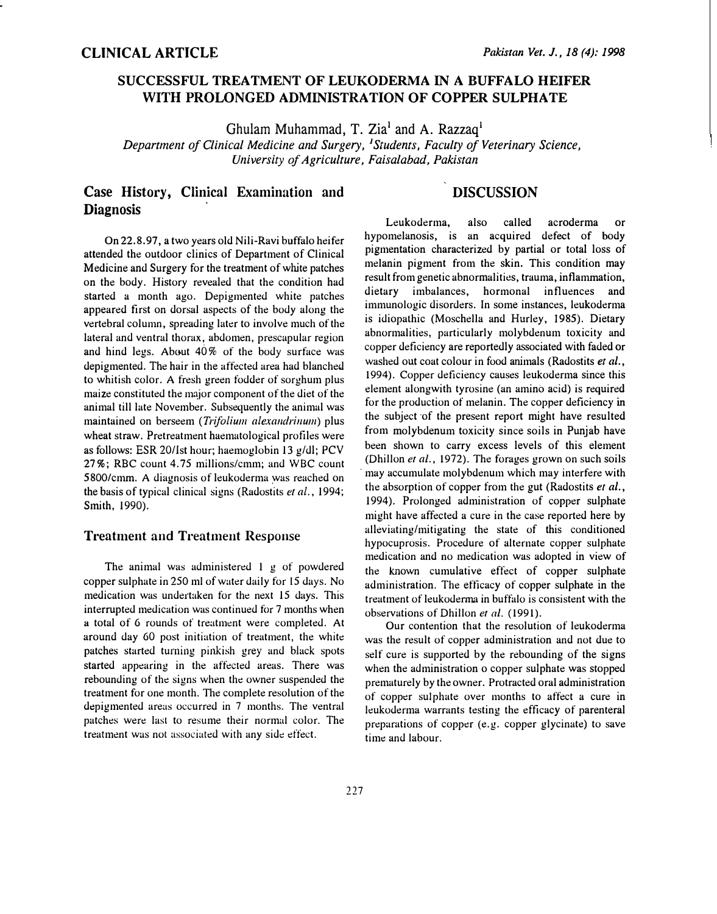## SUCCESSFUL TREATMENT OF LEUKODERMA IN A BUFFALO HEIFER WITH PROLONGED ADMINISTRATION OF COPPER SULPHATE

Ghulam Muhammad, T. Zia<sup>1</sup> and A. Razzaq<sup>1</sup>

Department of Clinical Medicine and Surgery, <sup>1</sup>Students, Faculty of Veterinary Science, University of Agriculture, Faisalabad, Pakistan

## Case History, Clinical Examination and **Diagnosis**

## DISCUSSION

On 22.8.97, a two years old Nili-Ravi buffalo heifer attended the outdoor clinics of Department of Clinical Medicine and Surgery for the treatment of white patches on the body. History revealed that the condition had started a month ago. Depigmented white patches appeared first on dorsal aspects of the body along the vertebral column, spreading later to involve much of the lateral and ventral thorax, abdomen, prescapular region and hind legs. Ab�ut 40% of the body surface was depigmented. The hair in the affected area had blanched to whitish color. A fresh green fodder of sorghum plus maize constituted the major component of the diet of the animal till late November. Subsequently the animal was maintained on berseem (Trifolium alexandrinum) plus wheat straw. Pretreatment haematological profiles were as follows: ESR 20/lst hour; haemoglobin 13 g/dl; PCV 27%; RBC count 4. 75 millions/cmm; and WBC count 5800/cmm. A diagnosis of leukoderma was reached on the basis of typical clinical signs (Radostits et al., 1994; Smith, 1990).

## **Treatment and Treatment Response**

The animal was administered 1 g of powdered copper sulphate in 250 ml of water daily for 15 days. No medication was undertaken for the next 15 days. This interrupted medication was continued for 7 months when <sup>a</sup>total of 6 rounds of treatment were completed. At around day 60 post initiation of treatment, the white patches started turning pinkish grey and black spots started appearing in the affected areas. There was rebounding of the signs when the owner suspended the treatment for one month. The complete resolution of the depigmented areas occurred in 7 months. The ventral patches were last to resume their normal color. The treatment was not associated with any side effect.

Leukoderma, also called acroderma or hypomelanosis, is an acquired defect of body pigmentation characterized by partial or total loss of melanin pigment from the skin. This condition may result from genetic abnormalities, trauma, inflammation, dietary imbalances, hormonal influences and immunologic disorders. In some instances, leukoderma is idiopathic (Moschella and Hurley, 1985). Dietary abnormalities, particularly molybdenum toxicity and copper deficiency are reportedly associated with faded or washed out coat colour in food animals (Radostits et al., 1994). Copper deficiency causes leukoderma since this element alongwith tyrosine (an amino acid) is required for the production of melanin. The copper deficiency in the subject ·of the present report might have resulted from molybdenum toxicity since soils in Punjab have been shown to carry excess levels of this element (Dhillon et al., 1972). The forages grown on such soils may accumulate molybdenum which may interfere with the absorption of copper from the gut (Radostits et al., 1994). Prolonged administration of copper sulphate might have affected a cure in the case reported here by alleviating/mitigating the state of this conditioned hypocuprosis. Procedure of alternate copper sulphate medication and no medication was adopted in view of the known cumulative effect of copper sulphate administration. The efticacy of copper sulphate in the treatment of leukodenna in buffalo is consistent with the observations of Dhillon et al. (1991).

Our contention that the resolution of leukoderma was the result of copper administration and not due to self cure is supported by the rebounding of the signs when the administration o copper sulphate was stopped prematurely by the owner. Protracted oral administration of copper sulphate over months to affect a cure in leukoderma warrants testing the efficacy of parenteral preparations of copper (e.g. copper glycinate) to save time and labour.